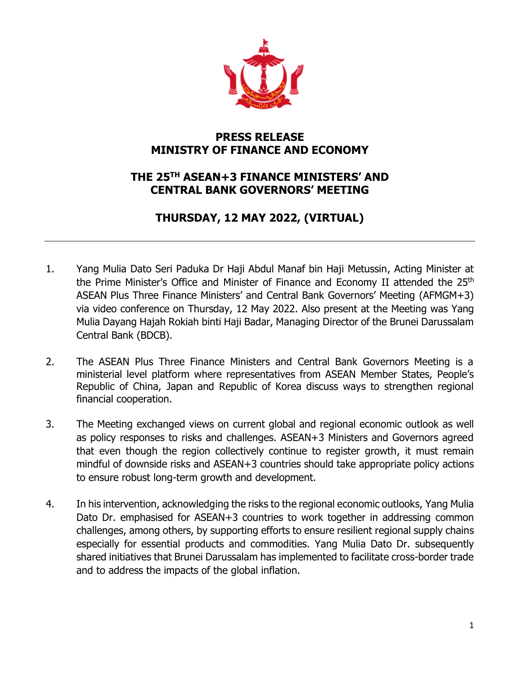

## **PRESS RELEASE MINISTRY OF FINANCE AND ECONOMY**

## **THE 25 TH ASEAN+3 FINANCE MINISTERS' AND CENTRAL BANK GOVERNORS' MEETING**

## **THURSDAY, 12 MAY 2022, (VIRTUAL)**

- 1. Yang Mulia Dato Seri Paduka Dr Haji Abdul Manaf bin Haji Metussin, Acting Minister at the Prime Minister's Office and Minister of Finance and Economy II attended the 25<sup>th</sup> ASEAN Plus Three Finance Ministers' and Central Bank Governors' Meeting (AFMGM+3) via video conference on Thursday, 12 May 2022. Also present at the Meeting was Yang Mulia Dayang Hajah Rokiah binti Haji Badar, Managing Director of the Brunei Darussalam Central Bank (BDCB).
- 2. The ASEAN Plus Three Finance Ministers and Central Bank Governors Meeting is a ministerial level platform where representatives from ASEAN Member States, People's Republic of China, Japan and Republic of Korea discuss ways to strengthen regional financial cooperation.
- 3. The Meeting exchanged views on current global and regional economic outlook as well as policy responses to risks and challenges. ASEAN+3 Ministers and Governors agreed that even though the region collectively continue to register growth, it must remain mindful of downside risks and ASEAN+3 countries should take appropriate policy actions to ensure robust long-term growth and development.
- 4. In his intervention, acknowledging the risks to the regional economic outlooks, Yang Mulia Dato Dr. emphasised for ASEAN+3 countries to work together in addressing common challenges, among others, by supporting efforts to ensure resilient regional supply chains especially for essential products and commodities. Yang Mulia Dato Dr. subsequently shared initiatives that Brunei Darussalam has implemented to facilitate cross-border trade and to address the impacts of the global inflation.